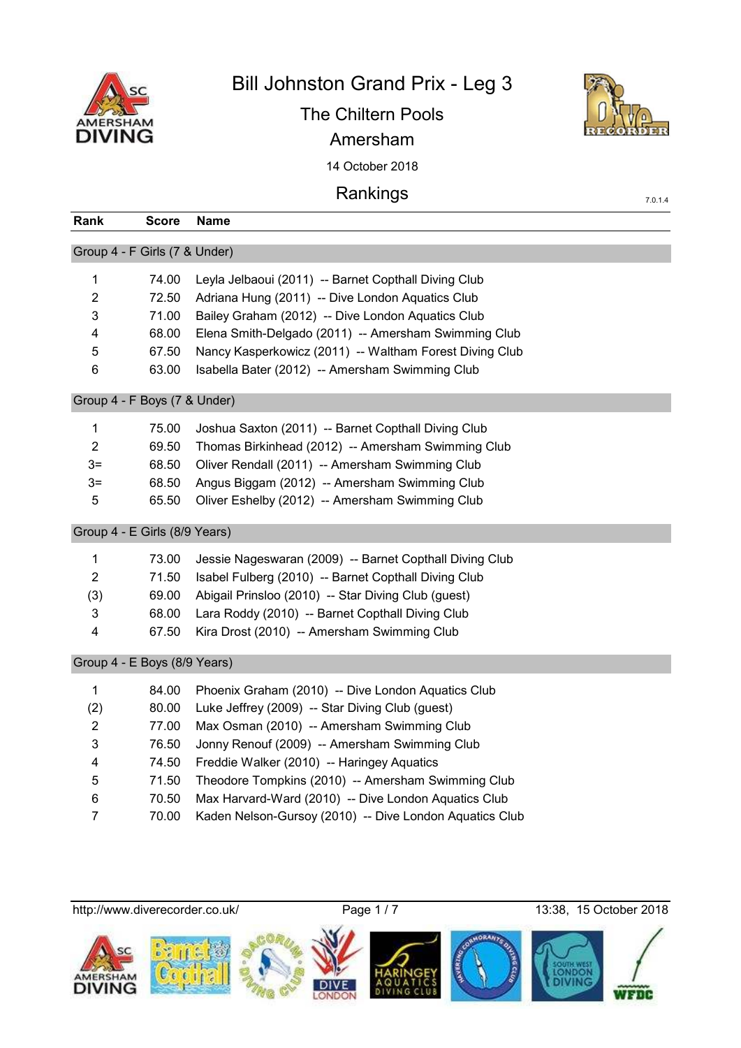

Bill Johnston Grand Prix - Leg 3

The Chiltern Pools



7.0.1.4

Amersham

14 October 2018

Rankings

| Rank                          | <b>Score</b> | <b>Name</b>                                             |
|-------------------------------|--------------|---------------------------------------------------------|
| Group 4 - F Girls (7 & Under) |              |                                                         |
| 1                             | 74.00        | Leyla Jelbaoui (2011) -- Barnet Copthall Diving Club    |
| $\overline{2}$                | 72.50        | Adriana Hung (2011) -- Dive London Aquatics Club        |
| 3                             | 71.00        | Bailey Graham (2012) -- Dive London Aquatics Club       |
| 4                             | 68.00        | Elena Smith-Delgado (2011) -- Amersham Swimming Club    |
| 5                             | 67.50        | Nancy Kasperkowicz (2011) -- Waltham Forest Diving Club |
| 6                             | 63.00        | Isabella Bater (2012) -- Amersham Swimming Club         |
| Group 4 - F Boys (7 & Under)  |              |                                                         |
| 1                             | 75.00        | Joshua Saxton (2011) -- Barnet Copthall Diving Club     |
| $\overline{2}$                | 69.50        | Thomas Birkinhead (2012) -- Amersham Swimming Club      |
| $3=$                          | 68.50        | Oliver Rendall (2011) -- Amersham Swimming Club         |
| $3=$                          | 68.50        | Angus Biggam (2012) -- Amersham Swimming Club           |
| 5                             | 65.50        | Oliver Eshelby (2012) -- Amersham Swimming Club         |
| Group 4 - E Girls (8/9 Years) |              |                                                         |
| 1                             | 73.00        | Jessie Nageswaran (2009) -- Barnet Copthall Diving Club |
| $\overline{2}$                | 71.50        | Isabel Fulberg (2010) -- Barnet Copthall Diving Club    |
| (3)                           | 69.00        | Abigail Prinsloo (2010) -- Star Diving Club (guest)     |
| 3                             | 68.00        | Lara Roddy (2010) -- Barnet Copthall Diving Club        |
| $\overline{\mathbf{4}}$       | 67.50        | Kira Drost (2010) -- Amersham Swimming Club             |
| Group 4 - E Boys (8/9 Years)  |              |                                                         |
| $\mathbf{1}$                  | 84.00        | Phoenix Graham (2010) -- Dive London Aquatics Club      |
| (2)                           | 80.00        | Luke Jeffrey (2009) -- Star Diving Club (guest)         |
| $\overline{c}$                | 77.00        | Max Osman (2010) -- Amersham Swimming Club              |
| 3                             | 76.50        | Jonny Renouf (2009) -- Amersham Swimming Club           |
| 4                             | 74.50        | Freddie Walker (2010) -- Haringey Aquatics              |
| 5                             | 71.50        | Theodore Tompkins (2010) -- Amersham Swimming Club      |
| 6                             | 70.50        | Max Harvard-Ward (2010) -- Dive London Aquatics Club    |
| $\overline{7}$                | 70.00        | Kaden Nelson-Gursoy (2010) -- Dive London Aquatics Club |

http://www.diverecorder.co.uk/ Page 1 / 7 13:38, 15 October 2018

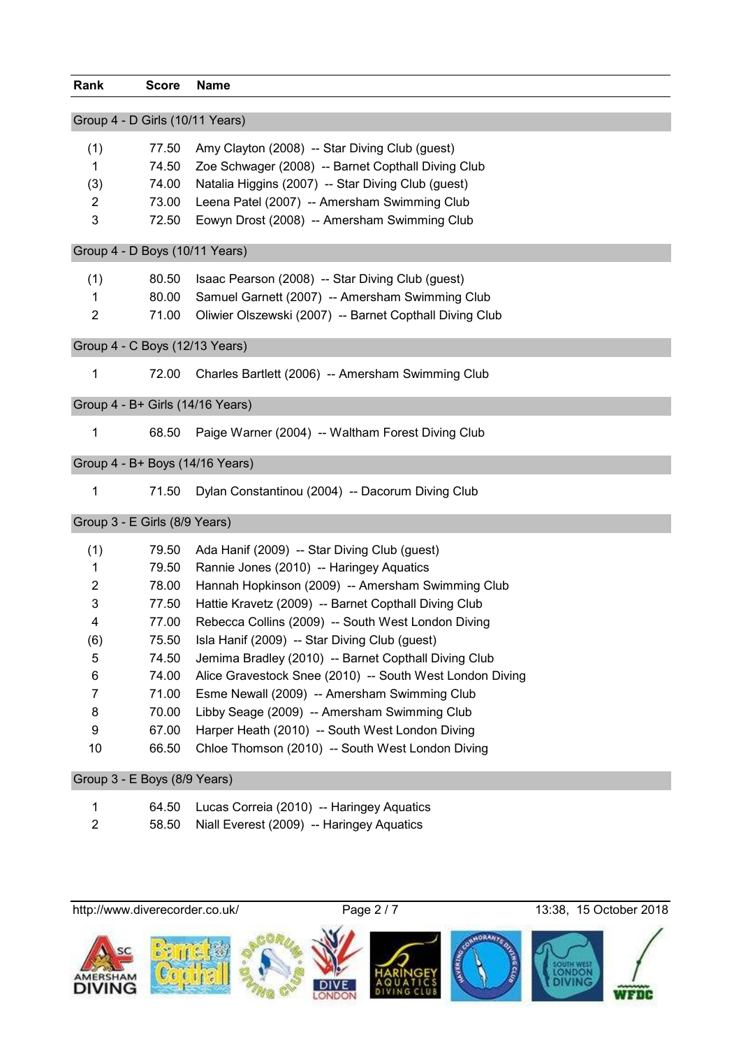| Rank           | <b>Score</b>                    | <b>Name</b>                                              |
|----------------|---------------------------------|----------------------------------------------------------|
|                | Group 4 - D Girls (10/11 Years) |                                                          |
|                |                                 |                                                          |
| (1)            | 77.50                           | Amy Clayton (2008) -- Star Diving Club (guest)           |
| 1              | 74.50                           | Zoe Schwager (2008) -- Barnet Copthall Diving Club       |
| (3)            | 74.00                           | Natalia Higgins (2007) -- Star Diving Club (guest)       |
| $\overline{2}$ | 73.00                           | Leena Patel (2007) -- Amersham Swimming Club             |
| 3              | 72.50                           | Eowyn Drost (2008) -- Amersham Swimming Club             |
|                | Group 4 - D Boys (10/11 Years)  |                                                          |
| (1)            | 80.50                           | Isaac Pearson (2008) -- Star Diving Club (guest)         |
| 1              | 80.00                           | Samuel Garnett (2007) -- Amersham Swimming Club          |
| $\overline{2}$ | 71.00                           | Oliwier Olszewski (2007) -- Barnet Copthall Diving Club  |
|                | Group 4 - C Boys (12/13 Years)  |                                                          |
| 1              | 72.00                           | Charles Bartlett (2006) -- Amersham Swimming Club        |
|                |                                 |                                                          |
|                |                                 | Group 4 - B+ Girls (14/16 Years)                         |
| 1              | 68.50                           | Paige Warner (2004) -- Waltham Forest Diving Club        |
|                |                                 | Group 4 - B+ Boys (14/16 Years)                          |
| 1              | 71.50                           | Dylan Constantinou (2004) -- Dacorum Diving Club         |
|                | Group 3 - E Girls (8/9 Years)   |                                                          |
| (1)            | 79.50                           | Ada Hanif (2009) -- Star Diving Club (guest)             |
| 1              | 79.50                           | Rannie Jones (2010) -- Haringey Aquatics                 |
| $\overline{2}$ | 78.00                           | Hannah Hopkinson (2009) -- Amersham Swimming Club        |
| 3              | 77.50                           | Hattie Kravetz (2009) -- Barnet Copthall Diving Club     |
| 4              | 77.00                           | Rebecca Collins (2009) -- South West London Diving       |
| (6)            | 75.50                           | Isla Hanif (2009) -- Star Diving Club (guest)            |
| 5              | 74.50                           | Jemima Bradley (2010) -- Barnet Copthall Diving Club     |
| 6              | 74.00                           | Alice Gravestock Snee (2010) -- South West London Diving |
| 7              | 71.00                           | Esme Newall (2009) -- Amersham Swimming Club             |
| 8              | 70.00                           | Libby Seage (2009) -- Amersham Swimming Club             |
| 9              | 67.00                           | Harper Heath (2010) -- South West London Diving          |
| 10             | 66.50                           | Chloe Thomson (2010) -- South West London Diving         |
|                | Group 3 - E Boys (8/9 Years)    |                                                          |
|                |                                 |                                                          |

|  | 64.50 Lucas Correia (2010) -- Haringey Aquatics |
|--|-------------------------------------------------|
|  | 58.50 Niall Everest (2009) -- Haringey Aquatics |

http://www.diverecorder.co.uk/ Page 2 / 7 13:38, 15 October 2018

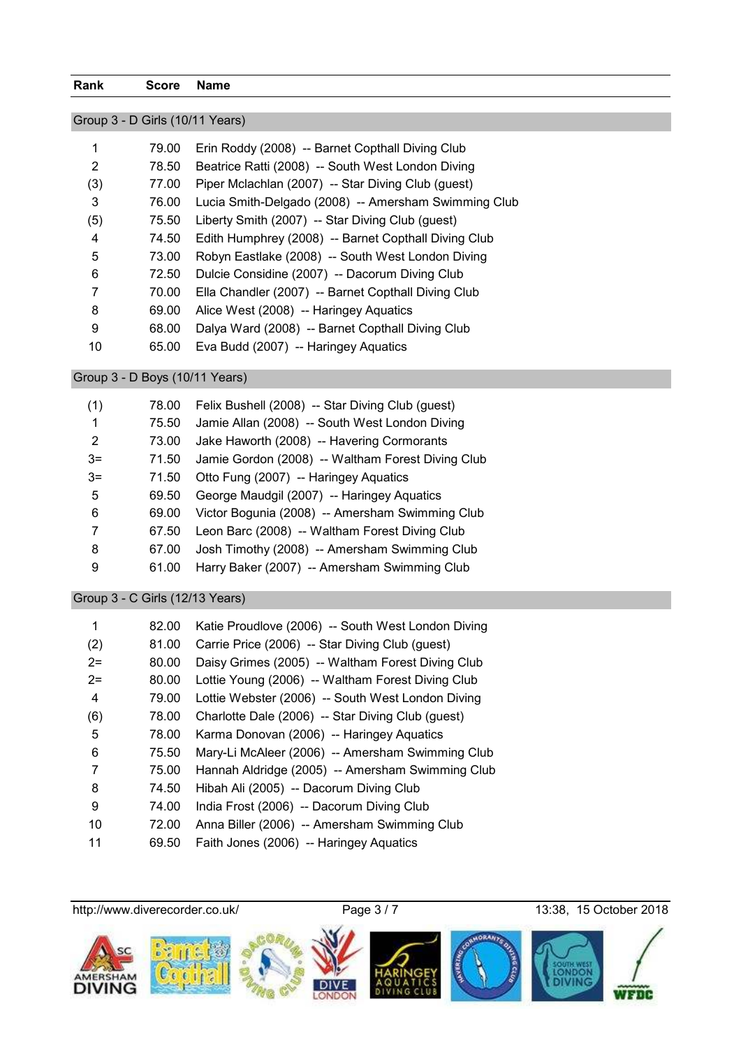#### **Rank Score Name**

# Group 3 - D Girls (10/11 Years)

| 1   | 79.00 | Erin Roddy (2008) -- Barnet Copthall Diving Club     |
|-----|-------|------------------------------------------------------|
| 2   | 78.50 | Beatrice Ratti (2008) -- South West London Diving    |
| (3) | 77.00 | Piper Mclachlan (2007) -- Star Diving Club (guest)   |
| 3   | 76.00 | Lucia Smith-Delgado (2008) -- Amersham Swimming Club |
| (5) | 75.50 | Liberty Smith (2007) -- Star Diving Club (guest)     |
| 4   | 74.50 | Edith Humphrey (2008) -- Barnet Copthall Diving Club |
| 5   | 73.00 | Robyn Eastlake (2008) -- South West London Diving    |
| 6   | 72.50 | Dulcie Considine (2007) -- Dacorum Diving Club       |
|     | 70.00 | Ella Chandler (2007) -- Barnet Copthall Diving Club  |
| 8   | 69.00 | Alice West (2008) -- Haringey Aquatics               |
| 9   | 68.00 | Dalya Ward (2008) -- Barnet Copthall Diving Club     |
| 10  | 65.00 | Eva Budd (2007) -- Haringey Aquatics                 |

# Group 3 - D Boys (10/11 Years)

| (1)  | 78.00 | Felix Bushell (2008) -- Star Diving Club (guest)  |
|------|-------|---------------------------------------------------|
| 1    | 75.50 | Jamie Allan (2008) -- South West London Diving    |
| 2    | 73.00 | Jake Haworth (2008) -- Havering Cormorants        |
| $3=$ | 71.50 | Jamie Gordon (2008) -- Waltham Forest Diving Club |
| $3=$ | 71.50 | Otto Fung (2007) -- Haringey Aquatics             |
| 5    | 69.50 | George Maudgil (2007) -- Haringey Aquatics        |
| 6    | 69.00 | Victor Bogunia (2008) -- Amersham Swimming Club   |
| 7    | 67.50 | Leon Barc (2008) -- Waltham Forest Diving Club    |
| 8    | 67.00 | Josh Timothy (2008) -- Amersham Swimming Club     |
| 9    | 61.00 | Harry Baker (2007) -- Amersham Swimming Club      |

# Group 3 - C Girls (12/13 Years)

| 1    | 82.00 | Katie Proudlove (2006) -- South West London Diving |
|------|-------|----------------------------------------------------|
| (2)  | 81.00 | Carrie Price (2006) -- Star Diving Club (guest)    |
| $2=$ | 80.00 | Daisy Grimes (2005) -- Waltham Forest Diving Club  |
| $2=$ | 80.00 | Lottie Young (2006) -- Waltham Forest Diving Club  |
| 4    | 79.00 | Lottie Webster (2006) -- South West London Diving  |
| (6)  | 78.00 | Charlotte Dale (2006) -- Star Diving Club (guest)  |
| 5    | 78.00 | Karma Donovan (2006) -- Haringey Aquatics          |
| 6    | 75.50 | Mary-Li McAleer (2006) -- Amersham Swimming Club   |
| 7    | 75.00 | Hannah Aldridge (2005) -- Amersham Swimming Club   |
| 8    | 74.50 | Hibah Ali (2005) -- Dacorum Diving Club            |
| 9    | 74.00 | India Frost (2006) -- Dacorum Diving Club          |
| 10   | 72.00 | Anna Biller (2006) -- Amersham Swimming Club       |
| 11   | 69.50 | Faith Jones (2006) -- Haringey Aquatics            |
|      |       |                                                    |

http://www.diverecorder.co.uk/ Page 3 / 7 13:38, 15 October 2018

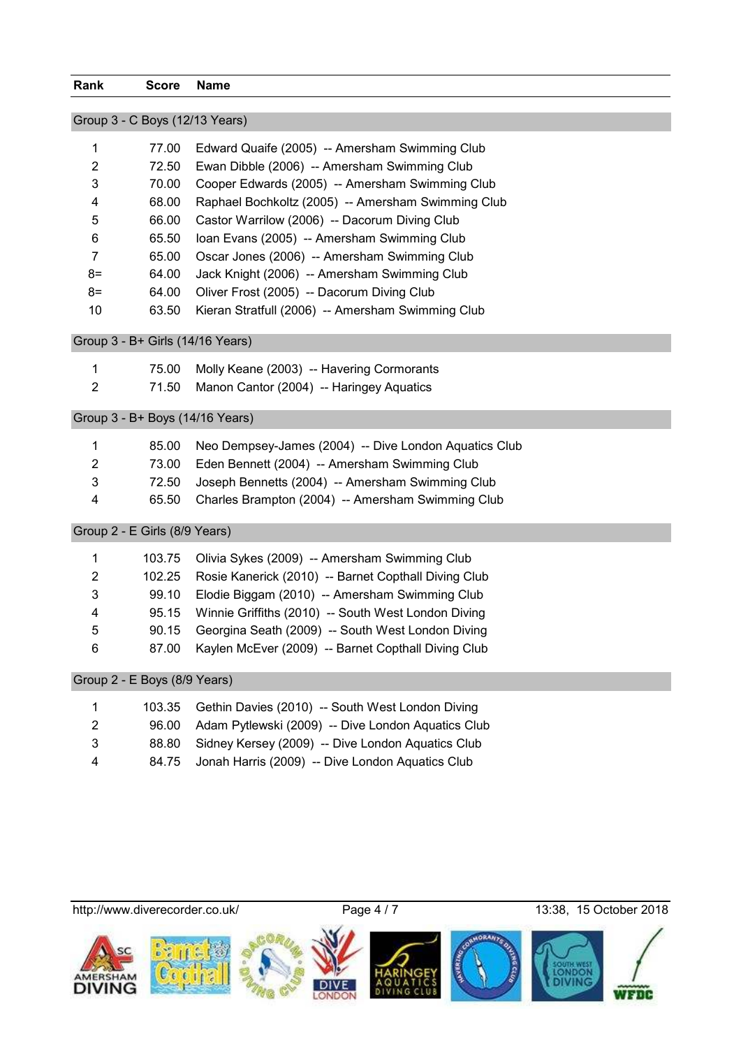| Rank                | <b>Score</b>                   | <b>Name</b>                                                                                         |
|---------------------|--------------------------------|-----------------------------------------------------------------------------------------------------|
|                     | Group 3 - C Boys (12/13 Years) |                                                                                                     |
|                     |                                |                                                                                                     |
| 1                   | 77.00                          | Edward Quaife (2005) -- Amersham Swimming Club                                                      |
| $\overline{2}$<br>3 | 72.50                          | Ewan Dibble (2006) -- Amersham Swimming Club                                                        |
|                     | 70.00<br>68.00                 | Cooper Edwards (2005) -- Amersham Swimming Club                                                     |
| 4<br>5              | 66.00                          | Raphael Bochkoltz (2005) -- Amersham Swimming Club<br>Castor Warrilow (2006) -- Dacorum Diving Club |
| 6                   | 65.50                          | Ioan Evans (2005) -- Amersham Swimming Club                                                         |
| $\overline{7}$      | 65.00                          | Oscar Jones (2006) -- Amersham Swimming Club                                                        |
| $8=$                | 64.00                          | Jack Knight (2006) -- Amersham Swimming Club                                                        |
| $8=$                | 64.00                          | Oliver Frost (2005) -- Dacorum Diving Club                                                          |
| 10                  | 63.50                          | Kieran Stratfull (2006) -- Amersham Swimming Club                                                   |
|                     |                                |                                                                                                     |
|                     |                                | Group 3 - B+ Girls (14/16 Years)                                                                    |
| 1                   | 75.00                          | Molly Keane (2003) -- Havering Cormorants                                                           |
| $\overline{2}$      | 71.50                          | Manon Cantor (2004) -- Haringey Aquatics                                                            |
|                     |                                |                                                                                                     |
|                     |                                | Group 3 - B+ Boys (14/16 Years)                                                                     |
| 1                   | 85.00                          | Neo Dempsey-James (2004) -- Dive London Aquatics Club                                               |
| $\overline{2}$      | 73.00                          | Eden Bennett (2004) -- Amersham Swimming Club                                                       |
| 3                   | 72.50                          | Joseph Bennetts (2004) -- Amersham Swimming Club                                                    |
| 4                   | 65.50                          | Charles Brampton (2004) -- Amersham Swimming Club                                                   |
|                     |                                |                                                                                                     |
|                     | Group 2 - E Girls (8/9 Years)  |                                                                                                     |
| 1                   | 103.75                         | Olivia Sykes (2009) -- Amersham Swimming Club                                                       |
| $\overline{2}$      | 102.25                         | Rosie Kanerick (2010) -- Barnet Copthall Diving Club                                                |
| 3                   | 99.10                          | Elodie Biggam (2010) -- Amersham Swimming Club                                                      |
| 4                   | 95.15                          | Winnie Griffiths (2010) -- South West London Diving                                                 |
| 5                   | 90.15                          | Georgina Seath (2009) -- South West London Diving                                                   |
| 6                   | 87.00                          | Kaylen McEver (2009) -- Barnet Copthall Diving Club                                                 |
|                     | Group 2 - E Boys (8/9 Years)   |                                                                                                     |
| 1                   | 103.35                         | Gethin Davies (2010) -- South West London Diving                                                    |
| $\overline{2}$      | 96.00                          | Adam Pytlewski (2009) -- Dive London Aquatics Club                                                  |
| 3                   | 88.80                          | Sidney Kersey (2009) -- Dive London Aquatics Club                                                   |
| 4                   | 84.75                          | Jonah Harris (2009) -- Dive London Aquatics Club                                                    |

http://www.diverecorder.co.uk/ Page 4 / 7 13:38, 15 October 2018

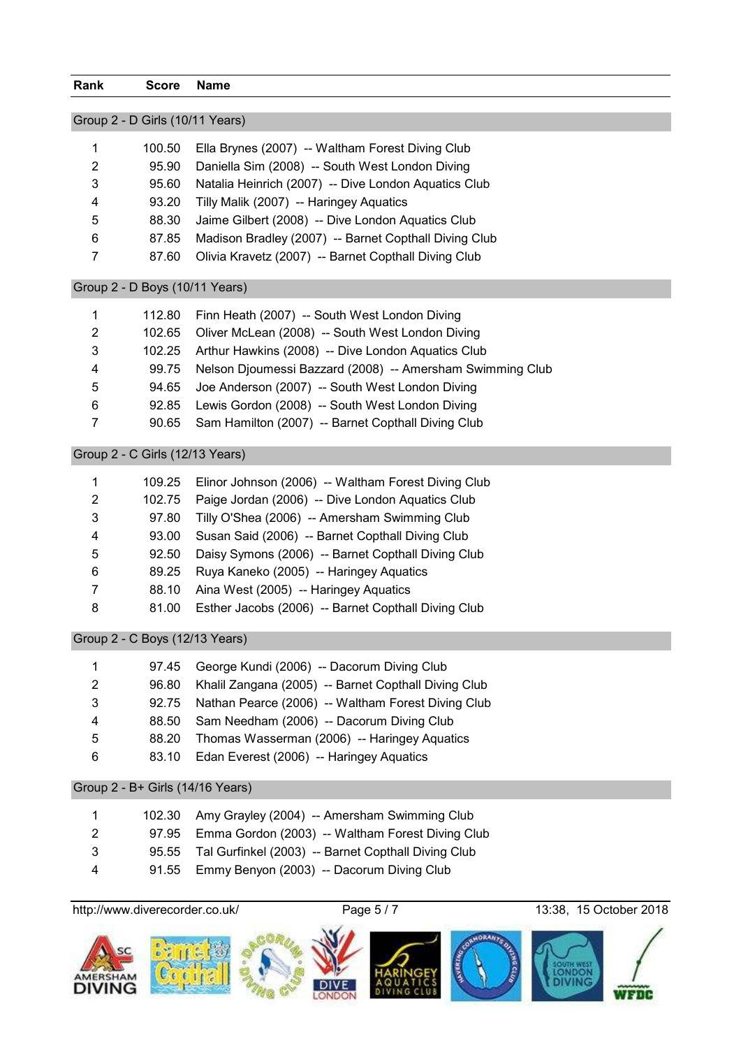#### **Rank Score Name**

#### Group 2 - D Girls (10/11 Years)

| 1 | 100.50 | Ella Brynes (2007) -- Waltham Forest Diving Club      |
|---|--------|-------------------------------------------------------|
| 2 | 95.90  | Daniella Sim (2008) -- South West London Diving       |
| 3 | 95.60  | Natalia Heinrich (2007) -- Dive London Aquatics Club  |
| 4 | 93.20  | Tilly Malik (2007) -- Haringey Aquatics               |
| 5 | 88.30  | Jaime Gilbert (2008) -- Dive London Aquatics Club     |
| 6 | 87.85  | Madison Bradley (2007) -- Barnet Copthall Diving Club |
|   | 87.60  | Olivia Kravetz (2007) -- Barnet Copthall Diving Club  |

#### Group 2 - D Boys (10/11 Years)

| $\mathbf{1}$   | 112.80 | Finn Heath (2007) -- South West London Diving                   |
|----------------|--------|-----------------------------------------------------------------|
| 2              | 102.65 | Oliver McLean (2008) -- South West London Diving                |
| 3              |        | 102.25 Arthur Hawkins (2008) -- Dive London Aquatics Club       |
| $\overline{4}$ |        | 99.75 Nelson Djoumessi Bazzard (2008) -- Amersham Swimming Club |
| 5              | 94.65  | Joe Anderson (2007) -- South West London Diving                 |
| 6              | 92.85  | Lewis Gordon (2008) -- South West London Diving                 |
| 7              | 90.65  | Sam Hamilton (2007) -- Barnet Copthall Diving Club              |

### Group 2 - C Girls (12/13 Years)

| 1 | 109.25 | Elinor Johnson (2006) -- Waltham Forest Diving Club |
|---|--------|-----------------------------------------------------|
| 2 | 102.75 | Paige Jordan (2006) -- Dive London Aquatics Club    |
| 3 | 97.80  | Tilly O'Shea (2006) -- Amersham Swimming Club       |
| 4 | 93.00  | Susan Said (2006) -- Barnet Copthall Diving Club    |
| 5 | 92.50  | Daisy Symons (2006) -- Barnet Copthall Diving Club  |
| 6 | 89.25  | Ruya Kaneko (2005) -- Haringey Aquatics             |
|   | 88.10  | Aina West (2005) -- Haringey Aquatics               |
| 8 | 81.00  | Esther Jacobs (2006) -- Barnet Copthall Diving Club |

# Group 2 - C Boys (12/13 Years)

| $\mathbf 1$ |       | 97.45 George Kundi (2006) -- Dacorum Diving Club         |
|-------------|-------|----------------------------------------------------------|
| 2           | 96.80 | Khalil Zangana (2005) -- Barnet Copthall Diving Club     |
| 3           |       | 92.75 Nathan Pearce (2006) -- Waltham Forest Diving Club |
| 4           | 88.50 | Sam Needham (2006) -- Dacorum Diving Club                |
| -5          | 88.20 | Thomas Wasserman (2006) -- Haringey Aquatics             |
| 6           | 83.10 | Edan Everest (2006) -- Haringey Aquatics                 |

# Group 2 - B+ Girls (14/16 Years)

|    | 102.30 Amy Grayley (2004) -- Amersham Swimming Club       |
|----|-----------------------------------------------------------|
| 2  | 97.95 Emma Gordon (2003) -- Waltham Forest Diving Club    |
| -3 | 95.55 Tal Gurfinkel (2003) -- Barnet Copthall Diving Club |
| 4  | 91.55 Emmy Benyon (2003) -- Dacorum Diving Club           |

http://www.diverecorder.co.uk/ Page 5 / 7 13:38, 15 October 2018

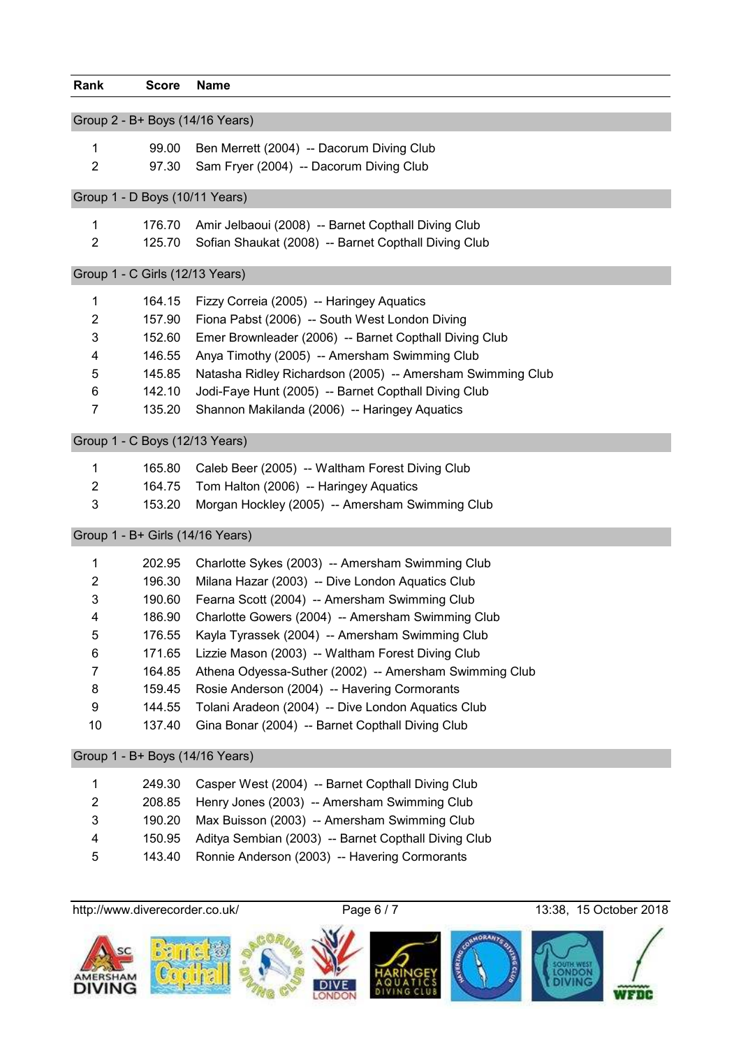| Rank                            | <b>Score</b>                   | <b>Name</b>                                                |  |                        |  |
|---------------------------------|--------------------------------|------------------------------------------------------------|--|------------------------|--|
| Group 2 - B+ Boys (14/16 Years) |                                |                                                            |  |                        |  |
| 1                               | 99.00                          | Ben Merrett (2004) -- Dacorum Diving Club                  |  |                        |  |
| $\overline{2}$                  | 97.30                          | Sam Fryer (2004) -- Dacorum Diving Club                    |  |                        |  |
|                                 |                                | Group 1 - D Boys (10/11 Years)                             |  |                        |  |
| 1                               | 176.70                         | Amir Jelbaoui (2008) -- Barnet Copthall Diving Club        |  |                        |  |
| $\overline{2}$                  | 125.70                         | Sofian Shaukat (2008) -- Barnet Copthall Diving Club       |  |                        |  |
| Group 1 - C Girls (12/13 Years) |                                |                                                            |  |                        |  |
| $\mathbf{1}$                    | 164.15                         | Fizzy Correia (2005) -- Haringey Aquatics                  |  |                        |  |
| $\overline{2}$                  | 157.90                         | Fiona Pabst (2006) -- South West London Diving             |  |                        |  |
| 3                               | 152.60                         | Emer Brownleader (2006) -- Barnet Copthall Diving Club     |  |                        |  |
| 4                               | 146.55                         | Anya Timothy (2005) -- Amersham Swimming Club              |  |                        |  |
| 5                               | 145.85                         | Natasha Ridley Richardson (2005) -- Amersham Swimming Club |  |                        |  |
| 6                               | 142.10                         | Jodi-Faye Hunt (2005) -- Barnet Copthall Diving Club       |  |                        |  |
| $\overline{7}$                  | 135.20                         | Shannon Makilanda (2006) -- Haringey Aquatics              |  |                        |  |
|                                 |                                | Group 1 - C Boys (12/13 Years)                             |  |                        |  |
| 1                               | 165.80                         | Caleb Beer (2005) -- Waltham Forest Diving Club            |  |                        |  |
| $\overline{2}$                  | 164.75                         | Tom Halton (2006) -- Haringey Aquatics                     |  |                        |  |
| 3                               | 153.20                         | Morgan Hockley (2005) -- Amersham Swimming Club            |  |                        |  |
|                                 |                                | Group 1 - B+ Girls (14/16 Years)                           |  |                        |  |
| $\mathbf{1}$                    | 202.95                         | Charlotte Sykes (2003) -- Amersham Swimming Club           |  |                        |  |
| $\overline{2}$                  | 196.30                         | Milana Hazar (2003) -- Dive London Aquatics Club           |  |                        |  |
| 3                               | 190.60                         | Fearna Scott (2004) -- Amersham Swimming Club              |  |                        |  |
| 4                               | 186.90                         | Charlotte Gowers (2004) -- Amersham Swimming Club          |  |                        |  |
| 5                               | 176.55                         | Kayla Tyrassek (2004) -- Amersham Swimming Club            |  |                        |  |
| 6                               | 171.65                         | Lizzie Mason (2003) -- Waltham Forest Diving Club          |  |                        |  |
| 7                               | 164.85                         | Athena Odyessa-Suther (2002) -- Amersham Swimming Club     |  |                        |  |
| 8                               | 159.45                         | Rosie Anderson (2004) -- Havering Cormorants               |  |                        |  |
| 9                               | 144.55                         | Tolani Aradeon (2004) -- Dive London Aquatics Club         |  |                        |  |
| 10                              | 137.40                         | Gina Bonar (2004) -- Barnet Copthall Diving Club           |  |                        |  |
|                                 |                                | Group 1 - B+ Boys (14/16 Years)                            |  |                        |  |
| 1                               | 249.30                         | Casper West (2004) -- Barnet Copthall Diving Club          |  |                        |  |
| $\overline{c}$                  | 208.85                         | Henry Jones (2003) -- Amersham Swimming Club               |  |                        |  |
| 3                               | 190.20                         | Max Buisson (2003) -- Amersham Swimming Club               |  |                        |  |
| 4                               | 150.95                         | Aditya Sembian (2003) -- Barnet Copthall Diving Club       |  |                        |  |
| 5                               | 143.40                         | Ronnie Anderson (2003) -- Havering Cormorants              |  |                        |  |
|                                 |                                |                                                            |  |                        |  |
|                                 | http://www.diverecorder.co.uk/ | Page 6 / 7                                                 |  | 13:38, 15 October 2018 |  |

 $C_{0,0}$ **LONDO DIVING DIVE**<br>LONDON WFDC